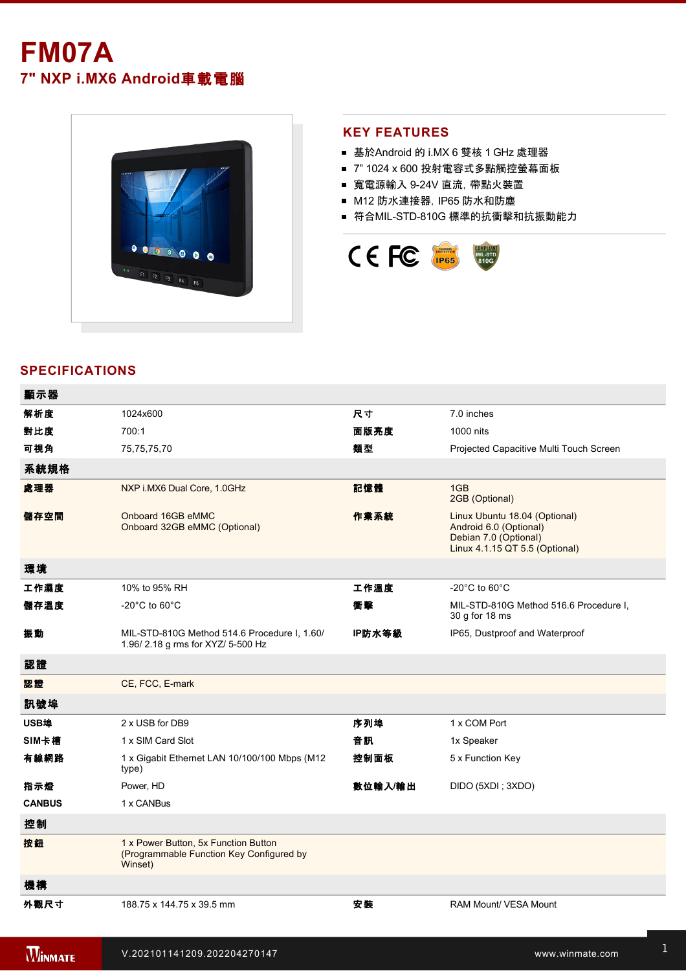# **FM07A 7" NXP i.MX6 Android**車載電腦



#### **KEY FEATURES**

- 基於Android 的 i.MX 6 雙核 1 GHz 處理器
- 7" 1024 x 600 投射電容式多點觸控螢幕面板
- 寬電源輸入 924V 直流,帶點火裝置
- M12 防水連接器, IP65 防水和防塵
- 符合MIL-STD-810G 標準的抗衝擊和抗振動能力



## **SPECIFICATIONS**

| 顯示器           |                                                                                             |         |                                                                                                                    |
|---------------|---------------------------------------------------------------------------------------------|---------|--------------------------------------------------------------------------------------------------------------------|
| 解析度           | 1024x600                                                                                    | 尺寸      | 7.0 inches                                                                                                         |
| 對比度           | 700:1                                                                                       | 面版亮度    | 1000 nits                                                                                                          |
| 可視角           | 75,75,75,70                                                                                 | 類型      | Projected Capacitive Multi Touch Screen                                                                            |
| 系統規格          |                                                                                             |         |                                                                                                                    |
| 處理器           | NXP i.MX6 Dual Core, 1.0GHz                                                                 | 記憶體     | 1GB<br>2GB (Optional)                                                                                              |
| 儲存空間          | Onboard 16GB eMMC<br>Onboard 32GB eMMC (Optional)                                           | 作業系統    | Linux Ubuntu 18.04 (Optional)<br>Android 6.0 (Optional)<br>Debian 7.0 (Optional)<br>Linux 4.1.15 QT 5.5 (Optional) |
| 環境            |                                                                                             |         |                                                                                                                    |
| 工作濕度          | 10% to 95% RH                                                                               | 工作溫度    | $-20^{\circ}$ C to 60 $^{\circ}$ C                                                                                 |
| 儲存溫度          | -20 $^{\circ}$ C to 60 $^{\circ}$ C                                                         | 衝擊      | MIL-STD-810G Method 516.6 Procedure I.<br>30 g for 18 ms                                                           |
| 振動            | MIL-STD-810G Method 514.6 Procedure I, 1.60/<br>1.96/2.18 g rms for XYZ/ 5-500 Hz           | IP防水等級  | IP65, Dustproof and Waterproof                                                                                     |
| 認證            |                                                                                             |         |                                                                                                                    |
| 認證            | CE, FCC, E-mark                                                                             |         |                                                                                                                    |
| 訊號埠           |                                                                                             |         |                                                                                                                    |
| USB埠          | 2 x USB for DB9                                                                             | 序列埠     | 1 x COM Port                                                                                                       |
| SIM卡槽         | 1 x SIM Card Slot                                                                           | 音訊      | 1x Speaker                                                                                                         |
| 有線網路          | 1 x Gigabit Ethernet LAN 10/100/100 Mbps (M12<br>type)                                      | 控制面板    | 5 x Function Key                                                                                                   |
| 指示燈           | Power, HD                                                                                   | 數位輸入/輸出 | DIDO (5XDI ; 3XDO)                                                                                                 |
| <b>CANBUS</b> | 1 x CANBus                                                                                  |         |                                                                                                                    |
| 控制            |                                                                                             |         |                                                                                                                    |
| 按鈕            | 1 x Power Button, 5x Function Button<br>(Programmable Function Key Configured by<br>Winset) |         |                                                                                                                    |
| 機構            |                                                                                             |         |                                                                                                                    |
| 外觀尺寸          | 188.75 x 144.75 x 39.5 mm                                                                   | 安装      | RAM Mount/ VESA Mount                                                                                              |

配件

Driver CD

Audio Cable, 0.3m (Optional)